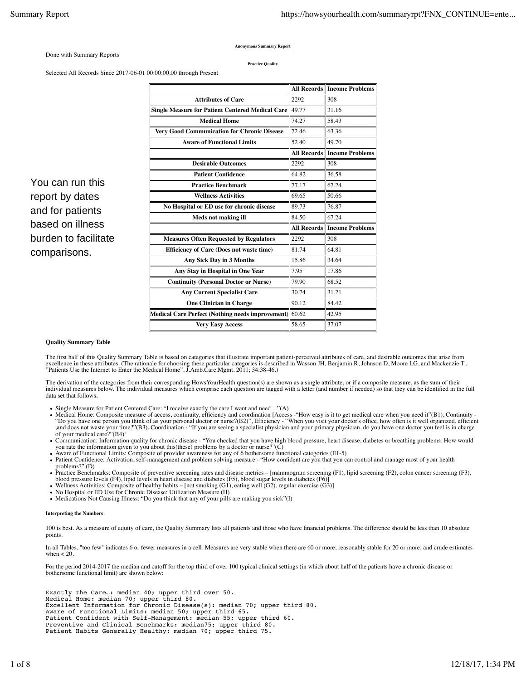**Anonymous Summary Report**

Done with Summary Reports

You can run this report by dates and for patients based on illness burden to facilitate

comparisons.

**Practice Quality**

Selected All Records Since 2017-06-01 00:00:00.00 through Present

|                                                         |       | <b>All Records Income Problems</b> |
|---------------------------------------------------------|-------|------------------------------------|
| <b>Attributes of Care</b>                               | 2292  | 308                                |
| <b>Single Measure for Patient Centered Medical Care</b> | 49.77 | 31.16                              |
| <b>Medical Home</b>                                     | 74.27 | 58.43                              |
| <b>Very Good Communication for Chronic Disease</b>      | 72.46 | 63.36                              |
| <b>Aware of Functional Limits</b>                       | 52.40 | 49.70                              |
|                                                         |       | <b>All Records Income Problems</b> |
| <b>Desirable Outcomes</b>                               | 2292  | 308                                |
| <b>Patient Confidence</b>                               | 64.82 | 36.58                              |
| <b>Practice Benchmark</b>                               | 77.17 | 67.24                              |
| <b>Wellness Activities</b>                              | 69.65 | 50.66                              |
| No Hospital or ED use for chronic disease               | 89.73 | 76.87                              |
| <b>Meds not making ill</b>                              | 84.50 | 67.24                              |
|                                                         |       | <b>All Records Income Problems</b> |
| <b>Measures Often Requested by Regulators</b>           | 2292  | 308                                |
| <b>Efficiency of Care (Does not waste time)</b>         | 81.74 | 64.81                              |
| <b>Any Sick Day in 3 Months</b>                         | 15.86 | 34.64                              |
| Any Stay in Hospital in One Year                        | 7.95  | 17.86                              |
| <b>Continuity (Personal Doctor or Nurse)</b>            | 79.90 | 68.52                              |
| <b>Any Current Specialist Care</b>                      | 30.74 | 31.21                              |
| <b>One Clinician in Charge</b>                          | 90.12 | 84.42                              |
| Medical Care Perfect (Nothing needs improvement)        | 60.62 | 42.95                              |
| <b>Very Easy Access</b>                                 | 58.65 | 37.07                              |

**Quality Summary Table**

The first half of this Quality Summary Table is based on categories that illustrate important patient-perceived attributes of care, and desirable outcomes that arise from excellence in these attributes. (The rationale for choosing these particular categories is described in Wasson JH, Benjamin R, Johnson D, Moore LG, and Mackenzie T.,<br>''Patients Use the Internet to Enter the Medical Home'',

The derivation of the categories from their corresponding HowsYourHealth question(s) are shown as a single attribute, or if a composite measure, as the sum of their individual measures below. The individual measures which comprise each question are tagged with a letter (and number if needed) so that they can be identified in the full data set that follows.

- Single Measure for Patient Centered Care: "I receive exactly the care I want and need..."(A)
- Medical Home: Composite measure of access, continuity, efficiency and coordination [Access -"How easy is it to get medical care when you need it"(B1), Continuity -<br>"Do you have one person you think of as your personal doct ,and does not waste your time?"(B3), Coordination - "If you are seeing a specialist physician and your primary physician, do you have one doctor you feel is in charge of your medical care?"(B4)'
- Communication: Information quality for chronic disease "You checked that you have high blood pressure, heart disease, diabetes or breathing problems. How would you rate the information given to you about this(these) problems by a doctor or nurse?"(C)
- Aware of Functional Limits: Composite of provider awareness for any of 6 bothersome functional categories (E1-5)
- Patient Confidence: Activation, self-management and problem solving measure "How confident are you that you can control and manage most of your health problems?" (D)
- Practice Benchmarks: Composite of preventive screening rates and disease metrics [mammogram screening (F1), lipid screening (F2), colon cancer screening (F3), blood pressure levels (F4), lipid levels in heart disease and
- Wellness Activities: Composite of healthy habits [not smoking (G1), eating well (G2), regular exercise  $(G3)$ ]
- No Hospital or ED Use for Chronic Disease: Utilization Measure  $(H)$
- Medications Not Causing Illness: "Do you think that any of your pills are making you sick"(I)

## **Interpreting the Numbers**

100 is best. As a measure of equity of care, the Quality Summary lists all patients and those who have financial problems. The difference should be less than 10 absolute points.

In all Tables, "too few" indicates 6 or fewer measures in a cell. Measures are very stable when there are 60 or more; reasonably stable for 20 or more; and crude estimates when  $< 20$ .

For the period 2014-2017 the median and cutoff for the top third of over 100 typical clinical settings (in which about half of the patients have a chronic disease or bothersome functional limit) are shown below:

Exactly the Care…: median 40; upper third over 50. Medical Home: median 70; upper third 80. Excellent Information for Chronic Disease(s): median 70; upper third 80. Aware of Functional Limits: median 50; upper third 65. Patient Confident with Self-Management: median 55; upper third 60. Preventive and Clinical Benchmarks: median75; upper third 80. Patient Habits Generally Healthy: median 70; upper third 75.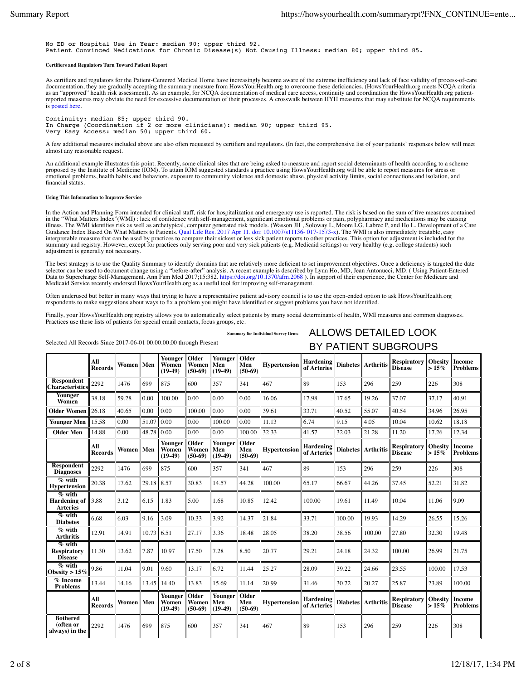No ED or Hospital Use in Year: median 90; upper third 92. Patient Convinced Medications for Chronic Disease(s) Not Causing Illness: median 80; upper third 85.

## **Certifiers and Regulators Turn Toward Patient Report**

As certifiers and regulators for the Patient-Centered Medical Home have increasingly become aware of the extreme inefficiency and lack of face validity of process-of-care<br>documentation, they are gradually accepting the sum reported measures may obviate the need for excessive documentation of their processes. A crosswalk between HYH measures that may substitute for NCQA requirements is posted here.

Continuity: median 85; upper third 90. In Charge (Coordination if 2 or more clinicians): median 90; upper third 95. Very Easy Access: median 50; upper third 60.

A few additional measures included above are also often requested by certifiers and regulators. (In fact, the comprehensive list of your patients' responses below will meet almost any reasonable request.

An additional example illustrates this point. Recently, some clinical sites that are being asked to measure and report social determinants of health according to a scheme proposed by the Institute of Medicine (IOM). To attain IOM suggested standards a practice using HowsYourHealth.org will be able to report measures for stress or emotional problems, health habits and behaviors, exposure to community violence and domestic abuse, physical activity limits, social connections and isolation, and financial status.

## **Using This Information to Improve Service**

In the Action and Planning Form intended for clinical staff, risk for hospitalization and emergency use is reported. The risk is based on the sum of five measures contained in the "What Matters Index"(WMI) : lack of confidence with self-management, significant emotional problems or pain, polypharmacy and medications may be causing<br>illness. The WMI identifies risk as well as archetypical, comp interpretable measure that can be used by practices to compare their sickest or less sick patient reports to other practices. This option for adjustment is included for the summary and registry. However, except for practices only serving poor and very sick patients (e.g. Medicaid settings) or very healthy (e.g. college students) such adjustment is generally not necessary.

The best strategy is to use the Quality Summary to identify domains that are relatively more deficient to set improvement objectives. Once a deficiency is targeted the date selector can be used to document change using a "before-after" analysis. A recent example is described by Lynn Ho, MD, Jean Antonucci, MD. ( Using Patient-Entered<br>Data to Supercharge Self-Management. Ann Fam Med 2017;15:38 Medicaid Service recently endorsed Hows Your Health.org as a useful tool for improving self-management.

Often underused but better in many ways that trying to have a representative patient advisory council is to use the open-ended option to ask HowsYourHealth.org respondents to make suggestions about ways to fix a problem you might have identified or suggest problems you have not identified.

Finally, your HowsYourHealth.org registry allows you to automatically select patients by many social determinants of health, WMI measures and common diagnoses. Practices use these lists of patients for special email contacts, focus groups, etc.

|                                                    | All<br><b>Records</b> | Women   Men  |              | Younger   Older<br>Women<br>$(19-49)$ | Women<br>$(50-69)$          | Younger<br>Men<br>$(19-49)$ | Older<br>Men<br>$(50-69)$        | <b>Hypertension</b> | <b>Hardening</b><br>of Arteries |        | <b>Diabetes Arthritis</b> | <b>Respiratory</b><br><b>Disease</b> | <b>Obesity</b><br>$>15\%$ | Income<br><b>Problems</b>                |
|----------------------------------------------------|-----------------------|--------------|--------------|---------------------------------------|-----------------------------|-----------------------------|----------------------------------|---------------------|---------------------------------|--------|---------------------------|--------------------------------------|---------------------------|------------------------------------------|
| <b>Respondent</b><br><b>Characteristics</b>        | 2292                  | 1476         | 699          | 875                                   | 600                         | 357                         | 341                              | 467                 | 89                              | 153    | 296                       | 259                                  | 226                       | 308                                      |
| <b>Younger</b><br>Women                            | 38.18                 | 59.28        | 0.00         | 100.00                                | 0.00                        | 0.00                        | 0.00                             | 16.06               | 17.98                           | 17.65  | 19.26                     | 37.07                                | 37.17                     | 40.91                                    |
| Older Women 26.18                                  |                       | 40.65        | 0.00         | 0.00                                  | 100.00                      | 0.00                        | 0.00                             | 39.61               | 33.71                           | 40.52  | 55.07                     | 40.54                                | 34.96                     | 26.95                                    |
| <b>Younger Men</b>                                 | 15.58                 | 0.00         | 51.07        | 0.00                                  | 0.00                        | 100.00                      | 0.00                             | 11.13               | 6.74                            | 9.15   | 4.05                      | 10.04                                | 10.62                     | 18.18                                    |
| <b>Older Men</b>                                   | 14.88                 | 0.00         | 48.78 0.00   |                                       | 0.00                        | 0.00                        | 100.00                           | 32.33               | 41.57                           | 32.03  | 21.28                     | 11.20                                | 17.26                     | 12.34                                    |
|                                                    | All<br><b>Records</b> | Women   Men  |              | Younger<br>Women<br>$(19-49)$         | Older<br>Women<br>$(50-69)$ | Younger<br>Men<br>$(19-49)$ | <b>Older</b><br>Men<br>$(50-69)$ | Hypertension        | <b>Hardening</b><br>of Arteries |        | Diabetes Arthritis        | <b>Respiratory</b><br><b>Disease</b> | $>15\%$                   | <b>Obesity</b> Income<br><b>Problems</b> |
| <b>Respondent</b><br><b>Diagnoses</b>              | 2292                  | 1476         | 699          | 875                                   | 600                         | 357                         | 341                              | 467                 | 89                              | 153    | 296                       | 259                                  | 226                       | 308                                      |
| % with<br><b>Hypertension</b>                      | 20.38                 | 17.62        | 29.18 8.57   |                                       | 30.83                       | 14.57                       | 44.28                            | 100.00              | 65.17                           | 66.67  | 44.26                     | 37.45                                | 52.21                     | 31.82                                    |
| % with<br>Hardening of $ 3.88 $<br><b>Arteries</b> |                       | 3.12         | 6.15         | 1.83                                  | 5.00                        | 1.68                        | 10.85                            | 12.42               | 100.00                          | 19.61  | 11.49                     | 10.04                                | 11.06                     | 9.09                                     |
| % with<br><b>Diabetes</b>                          | 6.68                  | 6.03         | 9.16         | 3.09                                  | 10.33                       | 3.92                        | 14.37                            | 21.84               | 33.71                           | 100.00 | 19.93                     | 14.29                                | 26.55                     | 15.26                                    |
| % with<br><b>Arthritis</b>                         | 12.91                 | 14.91        | $10.73$ 6.51 |                                       | 27.17                       | 3.36                        | 18.48                            | 28.05               | 38.20                           | 38.56  | 100.00                    | 27.80                                | 32.30                     | 19.48                                    |
| $%$ with<br><b>Respiratory</b><br><b>Disease</b>   | 11.30                 | 13.62        | 7.87         | 10.97                                 | 17.50                       | 7.28                        | 8.50                             | 20.77               | 29.21                           | 24.18  | 24.32                     | 100.00                               | 26.99                     | 21.75                                    |
| $\sqrt[n]{\text{with}}$<br>Obesity > $15%$         | 9.86                  | 11.04        | 9.01         | 9.60                                  | 13.17                       | 6.72                        | 11.44                            | 25.27               | 28.09                           | 39.22  | 24.66                     | 23.55                                | 100.00                    | 17.53                                    |
| % Income<br><b>Problems</b>                        | 13.44                 | 14.16        |              | 13.45 14.40                           | 13.83                       | 15.69                       | 11.14                            | 20.99               | 31.46                           | 30.72  | 20.27                     | 25.87                                | 23.89                     | 100.00                                   |
|                                                    | All<br><b>Records</b> | Women    Men |              | Younger<br>Women<br>$(19-49)$         | Older<br>Women<br>$(50-69)$ | Younger<br>Men<br>$(19-49)$ | Older<br>Men<br>$(50-69)$        | <b>Hypertension</b> | <b>Hardening</b><br>of Arteries |        | Diabetes Arthritis        | <b>Respiratory</b><br><b>Disease</b> | <b>Obesity</b><br>$>15\%$ | Income<br><b>Problems</b>                |
| <b>Bothered</b><br>(often or<br>always) in the     | 2292                  | 1476         | 699          | 875                                   | 600                         | 357                         | 341                              | 467                 | 89                              | 153    | 296                       | 259                                  | 226                       | 308                                      |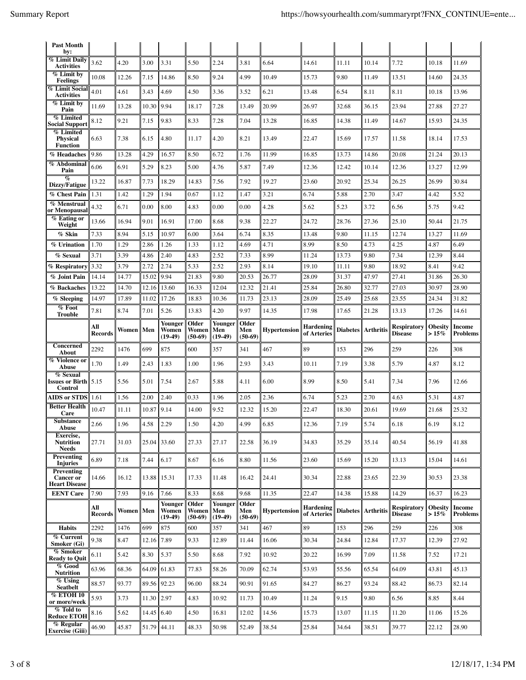| <b>Past Month</b><br>by:                               |                       |                |                |                               |                             |                                    |                           |                     |                          |                 |                  |                               |                           |                    |
|--------------------------------------------------------|-----------------------|----------------|----------------|-------------------------------|-----------------------------|------------------------------------|---------------------------|---------------------|--------------------------|-----------------|------------------|-------------------------------|---------------------------|--------------------|
| % Limit Daily<br><b>Activities</b>                     | 3.62                  | 4.20           | 3.00           | 3.31                          | 5.50                        | 2.24                               | 3.81                      | 6.64                | 14.61                    | 11.11           | 10.14            | 7.72                          | 10.18                     | 11.69              |
| $%$ Limit by<br><b>Feelings</b>                        | 10.08                 | 12.26          | 7.15           | 14.86                         | 8.50                        | 9.24                               | 4.99                      | 10.49               | 15.73                    | 9.80            | 11.49            | 13.51                         | 14.60                     | 24.35              |
| <b>% Limit Social</b><br><b>Activities</b>             | 4.01                  | 4.61           | 3.43           | 4.69                          | 4.50                        | 3.36                               | 3.52                      | 6.21                | 13.48                    | 6.54            | 8.11             | 8.11                          | 10.18                     | 13.96              |
| % Limit by<br>Pain                                     | 11.69                 | 13.28          | 10.30          | 9.94                          | 18.17                       | 7.28                               | 13.49                     | 20.99               | 26.97                    | 32.68           | 36.15            | 23.94                         | 27.88                     | 27.27              |
| % Limited<br><b>Social Support</b>                     | 8.12                  | 9.21           | 7.15           | 9.83                          | 8.33                        | 7.28                               | 7.04                      | 13.28               | 16.85                    | 14.38           | 11.49            | 14.67                         | 15.93                     | 24.35              |
| % Limited<br><b>Physical</b>                           | 6.63                  | 7.38           | 6.15           | 4.80                          | 11.17                       | 4.20                               | 8.21                      | 13.49               | 22.47                    | 15.69           | 17.57            | 11.58                         | 18.14                     | 17.53              |
| <b>Function</b><br>% Headaches                         | 9.86                  | 13.28          | 4.29           | 16.57                         | 8.50                        | 6.72                               | 1.76                      | 11.99               | 16.85                    | 13.73           | 14.86            | 20.08                         | 21.24                     | 20.13              |
| % Abdominal<br>Pain                                    | 6.06                  | 6.91           | 5.29           | 8.23                          | 5.00                        | 4.76                               | 5.87                      | 7.49                | 12.36                    | 12.42           | 10.14            | 12.36                         | 13.27                     | 12.99              |
| $\%$<br>Dizzy/Fatigue                                  | 13.22                 | 16.87          | 7.73           | 18.29                         | 14.83                       | 7.56                               | 7.92                      | 19.27               | 23.60                    | 20.92           | 25.34            | 26.25                         | 26.99                     | 30.84              |
| % Chest Pain                                           | 1.31                  | 1.42           | 1.29           | 1.94                          | 0.67                        | 1.12                               | 1.47                      | 3.21                | 6.74                     | 5.88            | 2.70             | 3.47                          | 4.42                      | 5.52               |
| % Menstrual<br>or Menopausal                           | 4.32                  | 6.71           | 0.00           | 8.00                          | 4.83                        | 0.00                               | 0.00                      | 4.28                | 5.62                     | 5.23            | 3.72             | 6.56                          | 5.75                      | 9.42               |
| % Eating or<br>Weight                                  | 13.66                 | 16.94          | 9.01           | 16.91                         | 17.00                       | 8.68                               | 9.38                      | 22.27               | 24.72                    | 28.76           | 27.36            | 25.10                         | 50.44                     | 21.75              |
| % Skin                                                 | 7.33                  | 8.94           | 5.15           | 10.97                         | 6.00                        | 3.64                               | 6.74                      | 8.35                | 13.48                    | 9.80            | 11.15            | 12.74                         | 13.27                     | 11.69              |
| % Urination                                            | 1.70                  | 1.29           | 2.86           | 1.26                          | 1.33                        | 1.12                               | 4.69                      | 4.71                | 8.99                     | 8.50            | 4.73             | 4.25                          | 4.87                      | 6.49               |
| % Sexual                                               | 3.71                  | 3.39           | 4.86           | 2.40                          | 4.83                        | 2.52                               | 7.33                      | 8.99                | 11.24                    | 13.73           | 9.80             | 7.34                          | 12.39                     | 8.44               |
| % Respiratory                                          | 3.32                  | 3.79           | 2.72           | 2.74<br>9.94                  | 5.33                        | 2.52                               | 2.93                      | 8.14                | 19.10                    | 11.11           | 9.80             | 18.92                         | 8.41                      | 9.42               |
| % Joint Pain<br>% Backaches                            | 14.14<br>13.22        | 14.77<br>14.70 | 15.02<br>12.16 | 13.60                         | 21.83<br>16.33              | 9.80<br>12.04                      | 20.53<br>12.32            | 26.77<br>21.41      | 28.09<br>25.84           | 31.37<br>26.80  | 47.97<br>32.77   | 27.41<br>27.03                | 31.86<br>30.97            | 26.30<br>28.90     |
| % Sleeping                                             | 14.97                 | 17.89          | 11.02          | 17.26                         | 18.83                       | 10.36                              | 11.73                     | 23.13               | 28.09                    | 25.49           | 25.68            | 23.55                         | 24.34                     | 31.82              |
| % Foot<br><b>Trouble</b>                               | 7.81                  | 8.74           | 7.01           | 5.26                          | 13.83                       | 4.20                               | 9.97                      | 14.35               | 17.98                    | 17.65           | 21.28            | 13.13                         | 17.26                     | 14.61              |
|                                                        | All                   |                |                | Younger                       | Older                       | <b>Younger</b>                     | Older                     |                     | <b>Hardening</b>         |                 |                  | Respiratory                   | <b>Obesity</b>            | Income             |
|                                                        | <b>Records</b>        | Women    Men   |                | Women                         | Women                       | Men                                | Men                       | Hypertension        | of Arteries              | Diabetes        | <b>Arthritis</b> | Disease                       | $>15\%$                   | <b>Problems</b>    |
|                                                        |                       |                |                | $(19-49)$                     | $(50-69)$                   | $(19-49)$                          | $(50-69)$                 |                     |                          |                 |                  |                               |                           |                    |
| Concerned<br>About                                     | 2292                  | 1476           | 699            | 875                           | 600                         | 357                                | 341                       | 467                 | 89                       | 153             | 296              | 259                           | 226                       | 308                |
| % Violence or<br>Abuse                                 | 1.70                  | 1.49           | 2.43           | 1.83                          | 1.00                        | 1.96                               | 2.93                      | 3.43                | 10.11                    | 7.19            | 3.38             | 5.79                          | 4.87                      | 8.12               |
| % Sexual<br><b>Issues or Birth</b><br>Control          | 5.15                  | 5.56           | 5.01           | 7.54                          | 2.67                        | 5.88                               | 4.11                      | 6.00                | 8.99                     | 8.50            | 5.41             | 7.34                          | 7.96                      | 12.66              |
| <b>AIDS</b> or STDS                                    | 1.61                  | 1.56           | 2.00           | 2.40                          | 0.33                        | 1.96                               | 2.05                      | 2.36                | 6.74                     | 5.23            | 2.70             | 4.63                          | 5.31                      | 4.87               |
| <b>Better Health</b><br>Care                           | 10.47                 | 11.11          | 10.87          | 9.14                          | 14.00                       | 9.52                               | 12.32                     | 15.20               | 22.47                    | 18.30           | 20.61            | 19.69                         | 21.68                     | 25.32              |
| Substance<br>Abuse                                     | 2.66                  | 1.96           | 4.58           | 2.29                          | 1.50                        | 4.20                               | 4.99                      | 6.85                | 12.36                    | 7.19            | 5.74             | 6.18                          | 6.19                      | 8.12               |
| Exercise,<br><b>Nutrition</b><br><b>Needs</b>          | 27.71                 | 31.03          |                | 25.04 33.60                   | 27.33                       | 27.17                              | 22.58                     | 36.19               | 34.83                    | 35.29           | 35.14            | 40.54                         | 56.19                     | 41.88              |
| Preventing<br><b>Injuries</b>                          | 6.89                  | 7.18           | 7.44           | $6.17\,$                      | 8.67                        | 6.16                               | 8.80                      | 11.56               | 23.60                    | 15.69           | 15.20            | 13.13                         | 15.04                     | 14.61              |
| Preventing<br><b>Cancer or</b><br><b>Heart Disease</b> | 14.66                 | 16.12          |                | 13.88 15.31                   | 17.33                       | 11.48                              | 16.42                     | 24.41               | 30.34                    | 22.88           | 23.65            | 22.39                         | 30.53                     | 23.38              |
| <b>EENT Care</b>                                       | 7.90                  | 7.93           | 9.16           | 7.66                          | 8.33                        | 8.68                               | 9.68                      | 11.35               | 22.47                    | 14.38           | 15.88            | 14.29                         | 16.37                     | 16.23              |
|                                                        | All<br><b>Records</b> | Women   Men    |                | Younger<br>Women<br>$(19-49)$ | Older<br>Women<br>$(50-69)$ | <b>Younger</b><br>Men<br>$(19-49)$ | Older<br>Men<br>$(50-69)$ | <b>Hypertension</b> | Hardening<br>of Arteries | <b>Diabetes</b> | <b>Arthritis</b> | Respiratory<br><b>Disease</b> | <b>Obesity</b><br>$>15\%$ | Income<br>Problems |
| <b>Habits</b>                                          | 2292                  | 1476           | 699            | 875                           | 600                         | 357                                | 341                       | 467                 | 89                       | 153             | 296              | 259                           | 226                       | 308                |
| % Current<br>Smoker (Gi)                               | 9.38                  | 8.47           | 12.16          | 7.89                          | 9.33                        | 12.89                              | 11.44                     | 16.06               | 30.34                    | 24.84           | 12.84            | 17.37                         | 12.39                     | 27.92              |
| % Smoker<br><b>Ready to Ouit</b>                       | 6.11                  | 5.42           | 8.30           | 5.37                          | 5.50                        | 8.68                               | 7.92                      | 10.92               | 20.22                    | 16.99           | 7.09             | 11.58                         | 7.52                      | 17.21              |
| % Good<br><b>Nutrition</b>                             | 63.96                 | 68.36          | 64.09          | 61.83                         | 77.83                       | 58.26                              | 70.09                     | 62.74               | 53.93                    | 55.56           | 65.54            | 64.09                         | 43.81                     | 45.13              |
| % Using<br>Seatbelt                                    | 88.57                 | 93.77          |                | 89.56 92.23                   | 96.00                       | 88.24                              | 90.91                     | 91.65               | 84.27                    | 86.27           | 93.24            | 88.42                         | 86.73                     | 82.14              |
| <b>% ETOH 10</b><br>or more/week                       | 5.93                  | 3.73           | 11.30 2.97     |                               | 4.83                        | 10.92                              | 11.73                     | 10.49               | 11.24                    | 9.15            | 9.80             | 6.56                          | 8.85                      | 8.44               |
| % Told to<br><b>Reduce ETOH</b>                        | 8.16                  | 5.62           | 14.45          | 6.40                          | 4.50                        | 16.81                              | 12.02                     | 14.56               | 15.73                    | 13.07           | 11.15            | 11.20                         | 11.06                     | 15.26              |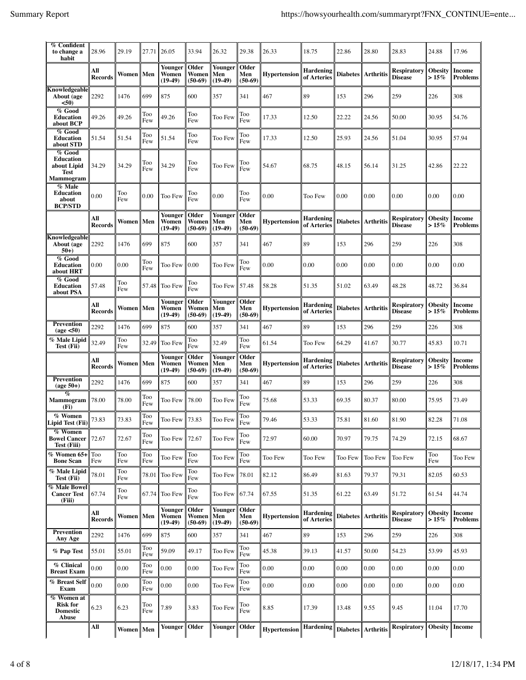| $\%$ Confident<br>to change a<br>habit                             | 28.96                 | 29.19      |            | 27.71 26.05                   | 33.94                       | 26.32                              | 29.38                     | 26.33               | 18.75                           | 22.86           | 28.80            | 28.83                                | 24.88                     | 17.96                     |
|--------------------------------------------------------------------|-----------------------|------------|------------|-------------------------------|-----------------------------|------------------------------------|---------------------------|---------------------|---------------------------------|-----------------|------------------|--------------------------------------|---------------------------|---------------------------|
|                                                                    | All<br><b>Records</b> | Women      | Men        | Younger<br>Women<br>$(19-49)$ | Older<br>Women<br>$(50-69)$ | Younger<br>Men<br>$(19-49)$        | Older<br>Men<br>$(50-69)$ | <b>Hypertension</b> | <b>Hardening</b><br>of Arteries | <b>Diabetes</b> | <b>Arthritis</b> | <b>Respiratory</b><br><b>Disease</b> | <b>Obesity</b><br>$>15\%$ | <b>Income</b><br>Problems |
| Knowledgeable<br>About (age<br>< 50)                               | 2292                  | 1476       | 699        | 875                           | 600                         | 357                                | 341                       | 467                 | 89                              | 153             | 296              | 259                                  | 226                       | 308                       |
| % Good<br>Education<br>about BCP                                   | 49.26                 | 49.26      | Too<br>Few | 49.26                         | Too<br>Few                  | Too Few                            | Too<br>Few                | 17.33               | 12.50                           | 22.22           | 24.56            | 50.00                                | 30.95                     | 54.76                     |
| % Good<br>Education<br>about STD                                   | 51.54                 | 51.54      | Too<br>Few | 51.54                         | Too<br>Few                  | Too Few                            | Too<br>Few                | 17.33               | 12.50                           | 25.93           | 24.56            | 51.04                                | 30.95                     | 57.94                     |
| % Good<br>Education<br>about Lipid<br>Test<br><b>Mammogram</b>     | 34.29                 | 34.29      | Too<br>Few | 34.29                         | Too<br>Few                  | Too Few                            | Too<br>Few                | 54.67               | 68.75                           | 48.15           | 56.14            | 31.25                                | 42.86                     | 22.22                     |
| % Male<br>Education<br>about<br><b>BCP/STD</b>                     | 0.00                  | Too<br>Few | 0.00       | Too Few                       | Too<br>Few                  | 0.00                               | Too<br>Few                | 0.00                | Too Few                         | 0.00            | 0.00             | 0.00                                 | 0.00                      | 0.00                      |
|                                                                    | All<br><b>Records</b> | Women      | Men        | Younger<br>Women<br>$(19-49)$ | Older<br>Women<br>$(50-69)$ | Younger<br>Men<br>$(19-49)$        | Older<br>Men<br>$(50-69)$ | <b>Hypertension</b> | <b>Hardening</b><br>of Arteries | <b>Diabetes</b> | <b>Arthritis</b> | <b>Respiratory</b><br><b>Disease</b> | Obesity<br>$>15\%$        | <b>Income</b><br>Problems |
| Knowledgeable<br>About (age<br>$50+$                               | 2292                  | 1476       | 699        | 875                           | 600                         | 357                                | 341                       | 467                 | 89                              | 153             | 296              | 259                                  | 226                       | 308                       |
| % Good<br>Education<br>about HRT                                   | 0.00                  | 0.00       | Too<br>Few | Too Few                       | 0.00                        | Too Few                            | Too<br>Few                | 0.00                | 0.00                            | 0.00            | 0.00             | 0.00                                 | 0.00                      | 0.00                      |
| % Good<br>Education<br>about PSA                                   | 57.48                 | Too<br>Few | 57.48      | Too Few                       | Too<br>Few                  | Too Few                            | 57.48                     | 58.28               | 51.35                           | 51.02           | 63.49            | 48.28                                | 48.72                     | 36.84                     |
|                                                                    | All<br><b>Records</b> | Women      | Men        | Younger<br>Women<br>$(19-49)$ | Older<br>Women<br>$(50-69)$ | <b>Younger</b><br>Men<br>$(19-49)$ | Older<br>Men<br>$(50-69)$ | Hypertension        | <b>Hardening</b><br>of Arteries | <b>Diabetes</b> | <b>Arthritis</b> | Respiratory<br><b>Disease</b>        | <b>Obesity</b><br>$>15\%$ | Income<br>Problems        |
| <b>Prevention</b><br>(age <50)                                     | 2292                  | 1476       | 699        | 875                           | 600                         | 357                                | 341                       | 467                 | 89                              | 153             | 296              | 259                                  | 226                       | 308                       |
| % Male Lipid<br>Test (Fii)                                         | 32.49                 | Too<br>Few | 32.49      | Too Few                       | Too<br>Few                  | 32.49                              | Too<br>Few                | 61.54               | Too Few                         | 64.29           | 41.67            | 30.77                                | 45.83                     | 10.71                     |
|                                                                    | All<br><b>Records</b> | Women      | Men        | Younger<br>Women<br>$(19-49)$ | Older<br>Women<br>$(50-69)$ | Younger<br>Men<br>$(19-49)$        | Older<br>Men<br>$(50-69)$ | <b>Hypertension</b> | <b>Hardening</b><br>of Arteries | <b>Diabetes</b> | <b>Arthritis</b> | <b>Respiratory</b><br><b>Disease</b> | <b>Obesity</b><br>$>15\%$ | <b>Income</b><br>Problems |
| <b>Prevention</b><br>$(age 50+)$                                   | 2292                  | 1476       | 699        | 875                           | 600                         | 357                                | 341                       | 467                 | 89                              | 153             | 296              | 259                                  | 226                       | 308                       |
| $\%$<br>Mammogram<br>(Fi)                                          | 78.00                 | 78.00      | Too<br>Few | Too Few                       | 78.00                       | Too Few                            | Too<br>Few                | 75.68               | 53.33                           | 69.35           | 80.37            | 80.00                                | 75.95                     | 73.49                     |
| % Women<br>Lipid Test (Fii)                                        | 73.83                 | 73.83      | Too<br>Few | Too Few                       | 73.83                       | Too Few                            | Too<br>Few                | 79.46               | 53.33                           | 75.81           | 81.60            | 81.90                                | 82.28                     | 71.08                     |
| $\overline{\%}$ Women<br><b>Bowel Cancer</b><br><b>Test (Fiii)</b> | 72.67                 | 72.67      | Too<br>Few | Too Few                       | 72.67                       | Too Few                            | Too<br>Few                | 72.97               | 60.00                           | 70.97           | 79.75            | 74.29                                | 72.15                     | 68.67                     |
| % Women 65+<br><b>Bone Scan</b>                                    | Too<br>Few            | Too<br>Few | Too<br>Few | Too Few                       | Too<br>Few                  | Too Few                            | Too<br>Few                | Too Few             | Too Few                         | Too Few         | Too Few          | Too Few                              | Too<br>Few                | Too Few                   |
| % Male Lipid<br>Test (Fii)                                         | 78.01                 | Too<br>Few | 78.01      | Too Few                       | Too<br>Few                  | Too Few                            | 78.01                     | 82.12               | 86.49                           | 81.63           | 79.37            | 79.31                                | 82.05                     | 60.53                     |
| <b>% Male Bowel</b><br><b>Cancer Test</b><br>(Fiii)                | 67.74                 | Too<br>Few | 67.74      | Too Few                       | Too<br>Few                  | Too Few                            | 67.74                     | 67.55               | 51.35                           | 61.22           | 63.49            | 51.72                                | 61.54                     | 44.74                     |
|                                                                    | All<br><b>Records</b> | Women      | Men        | Younger<br>Women<br>$(19-49)$ | Older<br>Women<br>$(50-69)$ | Younger<br>Men<br>$(19-49)$        | Older<br>Men<br>$(50-69)$ | <b>Hypertension</b> | <b>Hardening</b><br>of Arteries | Diabetes        | <b>Arthritis</b> | <b>Respiratory</b><br><b>Disease</b> | <b>Obesity</b><br>$>15\%$ | Income<br><b>Problems</b> |
| <b>Prevention</b><br>Any Age                                       | 2292                  | 1476       | 699        | 875                           | 600                         | 357                                | 341                       | 467                 | 89                              | 153             | 296              | 259                                  | 226                       | 308                       |
| % Pap Test                                                         | 55.01                 | 55.01      | Too<br>Few | 59.09                         | 49.17                       | Too Few                            | Too<br>Few                | 45.38               | 39.13                           | 41.57           | 50.00            | 54.23                                | 53.99                     | 45.93                     |
| % Clinical<br><b>Breast Exam</b>                                   | 0.00                  | 0.00       | Too<br>Few | 0.00                          | 0.00                        | Too Few                            | Too<br>Few                | 0.00                | 0.00                            | 0.00            | 0.00             | 0.00                                 | 0.00                      | 0.00                      |
| % Breast Self<br>Exam                                              | 0.00                  | 0.00       | Too<br>Few | 0.00                          | 0.00                        | Too Few                            | Too<br>Few                | 0.00                | $0.00\,$                        | 0.00            | 0.00             | 0.00                                 | 0.00                      | 0.00                      |
| % Women at<br><b>Risk for</b><br><b>Domestic</b><br><b>Abuse</b>   | 6.23                  | 6.23       | Too<br>Few | 7.89                          | 3.83                        | Too Few                            | Too<br>Few                | 8.85                | 17.39                           | 13.48           | 9.55             | 9.45                                 | 11.04                     | 17.70                     |
|                                                                    |                       |            |            |                               |                             |                                    |                           |                     |                                 |                 |                  |                                      |                           |                           |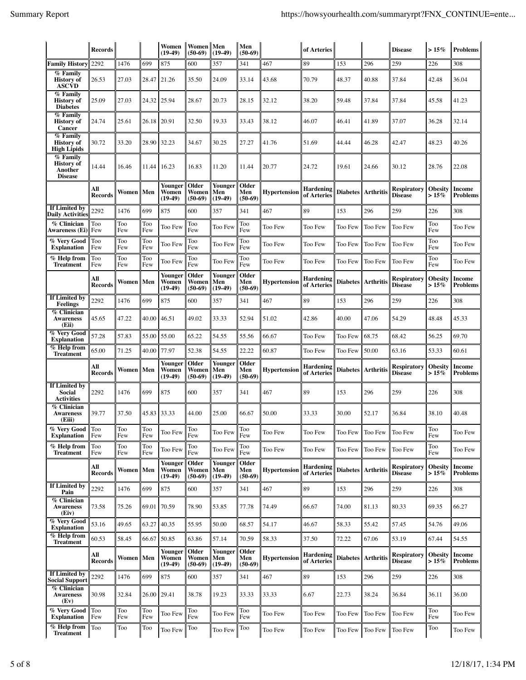|                                                                     | <b>Records</b>        |            |            | Women<br>$(19-49)$            | Women Men<br>$(50-69)$      | $(19-49)$                   | Men<br>$(50-69)$          |                     | of Arteries                     |                 |                    | <b>Disease</b>                       | $>15\%$                   | <b>Problems</b>                  |
|---------------------------------------------------------------------|-----------------------|------------|------------|-------------------------------|-----------------------------|-----------------------------|---------------------------|---------------------|---------------------------------|-----------------|--------------------|--------------------------------------|---------------------------|----------------------------------|
| <b>Family History</b>                                               | 2292                  | 1476       | 699        | 875                           | 600                         | 357                         | 341                       | 467                 | 89                              | 153             | 296                | 259                                  | 226                       | 308                              |
| % Family<br><b>History of</b><br><b>ASCVD</b>                       | 26.53                 | 27.03      | 28.47      | 21.26                         | 35.50                       | 24.09                       | 33.14                     | 43.68               | 70.79                           | 48.37           | 40.88              | 37.84                                | 42.48                     | 36.04                            |
| $\sqrt{\frac{2}{5}}$ Family<br><b>History</b> of<br><b>Diabetes</b> | 25.09                 | 27.03      | 24.32      | 25.94                         | 28.67                       | 20.73                       | 28.15                     | 32.12               | 38.20                           | 59.48           | 37.84              | 37.84                                | 45.58                     | 41.23                            |
| % Family<br><b>History of</b><br><b>Cancer</b>                      | 24.74                 | 25.61      | 26.18      | 20.91                         | 32.50                       | 19.33                       | 33.43                     | 38.12               | 46.07                           | 46.41           | 41.89              | 37.07                                | 36.28                     | 32.14                            |
| % Family<br><b>History</b> of<br><b>High Lipids</b>                 | 30.72                 | 33.20      | 28.90      | 32.23                         | 34.67                       | 30.25                       | 27.27                     | 41.76               | 51.69                           | 44.44           | 46.28              | 42.47                                | 48.23                     | 40.26                            |
| % Family<br><b>History of</b><br>Another<br><b>Disease</b>          | 14.44                 | 16.46      | 11.44      | 16.23                         | 16.83                       | 11.20                       | 11.44                     | 20.77               | 24.72                           | 19.61           | 24.66              | 30.12                                | 28.76                     | 22.08                            |
|                                                                     | All<br><b>Records</b> | Women      | Men        | Younger<br>Women<br>$(19-49)$ | Older<br>Women<br>$(50-69)$ | Younger<br>Men<br>$(19-49)$ | Older<br>Men<br>$(50-69)$ | <b>Hypertension</b> | <b>Hardening</b><br>of Arteries | <b>Diabetes</b> | <b>Arthritis</b>   | <b>Respiratory</b><br><b>Disease</b> | <b>Obesity</b><br>$>15\%$ | <b>Income</b><br><b>Problems</b> |
| If Limited by<br>Daily Activities                                   | 2292                  | 1476       | 699        | 875                           | 600                         | 357                         | 341                       | 467                 | 89                              | 153             | 296                | 259                                  | 226                       | 308                              |
| % Clinician<br>Awareness (Ei)                                       | Too<br>Few            | Too<br>Few | Too<br>Few | Too Few                       | Too<br>Few                  | Too Few                     | Too<br>Few                | Too Few             | Too Few                         | Too Few         | Too Few            | Too Few                              | Too<br>Few                | Too Few                          |
| % Very Good<br><b>Explanation</b>                                   | Too<br>Few            | Too<br>Few | Too<br>Few | Too Few                       | Too<br>Few                  | Too Few                     | Too<br>Few                | Too Few             | Too Few                         | Too Few         | Too Few            | Too Few                              | Too<br>Few                | Too Few                          |
| $\%$ Help from<br><b>Treatment</b>                                  | Too<br>Few            | Too<br>Few | Too<br>Few | Too Few                       | Too<br>Few                  | Too Few                     | Too<br>Few                | Too Few             | Too Few                         | Too Few         | Too Few            | Too Few                              | Too<br>Few                | Too Few                          |
|                                                                     | All<br><b>Records</b> | Women      | Men        | Younger<br>Women<br>$(19-49)$ | Older<br>Women<br>$(50-69)$ | Younger<br>Men<br>$(19-49)$ | Older<br>Men<br>$(50-69)$ | <b>Hypertension</b> | Hardening<br>of Arteries        |                 | Diabetes Arthritis | <b>Respiratory</b><br><b>Disease</b> | <b>Obesity</b><br>$>15\%$ | Income<br><b>Problems</b>        |
| If Limited by<br><b>Feelings</b>                                    | 2292                  | 1476       | 699        | 875                           | 600                         | 357                         | 341                       | 467                 | 89                              | 153             | 296                | 259                                  | 226                       | 308                              |
| % Clinician<br><b>Awareness</b><br>(Eii)                            | 45.65                 | 47.22      | 40.00      | 46.51                         | 49.02                       | 33.33                       | 52.94                     | 51.02               | 42.86                           | 40.00           | 47.06              | 54.29                                | 48.48                     | 45.33                            |
| <b>% Very Good</b><br><b>Explanation</b>                            | 57.28                 | 57.83      | 55.00      | 55.00                         | 65.22                       | 54.55                       | 55.56                     | 66.67               | Too Few                         | Too Few         | 68.75              | 68.42                                | 56.25                     | 69.70                            |
| $\overline{\mathcal{U}}$ Help from<br><b>Treatment</b>              | 65.00                 | 71.25      | 40.00      | 77.97                         | 52.38                       | 54.55                       | 22.22                     | 60.87               | Too Few                         | Too Few         | 50.00              | 63.16                                | 53.33                     | 60.61                            |
|                                                                     | All<br><b>Records</b> | Women      | Men        | Younger<br>Women<br>$(19-49)$ | Older<br>Women<br>$(50-69)$ | Younger<br>Men<br>$(19-49)$ | Older<br>Men<br>$(50-69)$ | <b>Hypertension</b> | Hardening<br>of Arteries        | <b>Diabetes</b> | <b>Arthritis</b>   | Respiratory<br><b>Disease</b>        | <b>Obesity</b><br>$>15\%$ | <b>Income</b><br><b>Problems</b> |
| If Limited by<br>Social<br><b>Activities</b>                        | 2292                  | 1476       | 699        | 875                           | 600                         | 357                         | 341                       | 467                 | 89                              | 153             | 296                | 259                                  | 226                       | 308                              |
| $\sqrt{\frac{m}{6}}$ Clinician<br><b>Awareness</b><br>(Eiii)        | 39.77                 | 37.50      | 45.83      | 33.33                         | 44.00                       | 25.00                       | 66.67                     | 50.00               | 33.33                           | 30.00           | 52.17              | 36.84                                | 38.10                     | 40.48                            |
| % Very Good<br><b>Explanation</b>                                   | Too<br>Few            | Too<br>Few | Too<br>Few | Too Few                       | Too<br>Few                  | Too Few                     | Too<br>Few                | Too Few             | Too Few                         | Too Few         | Too Few            | Too Few                              | Too<br>Few                | Too Few                          |
| % Help from<br><b>Treatment</b>                                     | Too<br>Few            | Too<br>Few | Too<br>Few | Too Few                       | Too<br>Few                  | Too Few                     | Too<br>Few                | Too Few             | Too Few                         | Too Few         | Too Few            | Too Few                              | Too<br>Few                | Too Few                          |
|                                                                     | All<br><b>Records</b> | Women      | Men        | Younger<br>Women<br>$(19-49)$ | Older<br>Women<br>$(50-69)$ | Younger<br>Men<br>$(19-49)$ | Older<br>Men<br>$(50-69)$ | <b>Hypertension</b> | <b>Hardening</b><br>of Arteries | <b>Diabetes</b> | <b>Arthritis</b>   | <b>Respiratory</b><br><b>Disease</b> | <b>Obesity</b><br>$>15\%$ | Income<br><b>Problems</b>        |
| If Limited by<br>Pain                                               | 2292                  | 1476       | 699        | 875                           | 600                         | 357                         | 341                       | 467                 | 89                              | 153             | 296                | 259                                  | 226                       | 308                              |
| <b>% Clinician</b><br><b>Awareness</b><br>(Eiv)                     | 73.58                 | 75.26      | 69.01      | 70.59                         | 78.90                       | 53.85                       | 77.78                     | 74.49               | 66.67                           | 74.00           | 81.13              | 80.33                                | 69.35                     | 66.27                            |
| % Very Good<br><b>Explanation</b>                                   | 53.16                 | 49.65      | 63.27      | 40.35                         | 55.95                       | 50.00                       | 68.57                     | 54.17               | 46.67                           | 58.33           | 55.42              | 57.45                                | 54.76                     | 49.06                            |
| $%$ Help from<br><b>Treatment</b>                                   | 60.53                 | 58.45      | 66.67      | 50.85                         | 63.86                       | 57.14                       | 70.59                     | 58.33               | 37.50                           | 72.22           | 67.06              | 53.19                                | 67.44                     | 54.55                            |
|                                                                     | All<br><b>Records</b> | Women      | Men        | Younger<br>Women<br>$(19-49)$ | Older<br>Women<br>$(50-69)$ | Younger<br>Men<br>$(19-49)$ | Older<br>Men<br>$(50-69)$ | <b>Hypertension</b> | <b>Hardening</b><br>of Arteries | <b>Diabetes</b> | <b>Arthritis</b>   | <b>Respiratory</b><br><b>Disease</b> | <b>Obesity</b><br>$>15\%$ | Income<br><b>Problems</b>        |
| If Limited by<br>Social Support                                     | 2292                  | 1476       | 699        | 875                           | 600                         | 357                         | 341                       | 467                 | 89                              | 153             | 296                | 259                                  | 226                       | 308                              |
| % Clinician<br><b>Awareness</b><br>(Ev)                             | 30.98                 | 32.84      | 26.00      | 29.41                         | 38.78                       | 19.23                       | 33.33                     | 33.33               | 6.67                            | 22.73           | 38.24              | 36.84                                | 36.11                     | 36.00                            |
| % Very Good<br><b>Explanation</b>                                   | Too<br>Few            | Too<br>Few | Too<br>Few | Too Few                       | Too<br>Few                  | Too Few                     | Too<br>Few                | Too Few             | Too Few                         | Too Few         | Too Few            | Too Few                              | Too<br>Few                | Too Few                          |
| % Help from<br><b>Treatment</b>                                     | Too                   | Too        | Too        | Too Few                       | Too                         | Too Few                     | Too                       | Too Few             | Too Few                         | Too Few         | Too Few            | Too Few                              | Too                       | Too Few                          |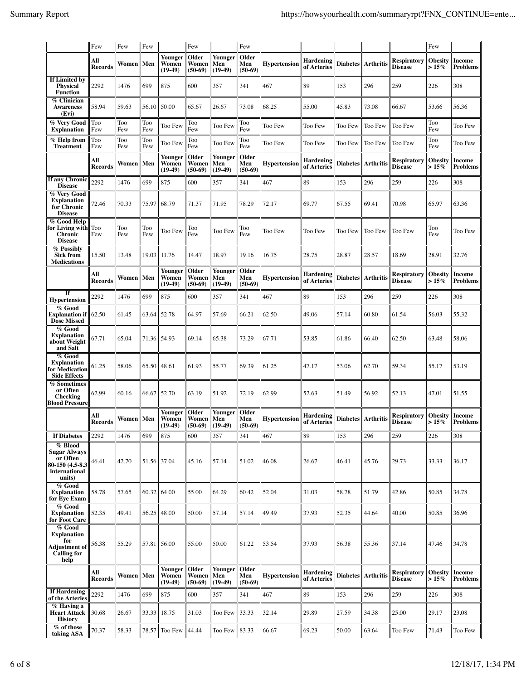|                                                                                           | Few                   | Few          | Few         |                               | Few                                 |                             | Few                       |                     |                                 |                      |                    |                                      | Few                       |                                  |
|-------------------------------------------------------------------------------------------|-----------------------|--------------|-------------|-------------------------------|-------------------------------------|-----------------------------|---------------------------|---------------------|---------------------------------|----------------------|--------------------|--------------------------------------|---------------------------|----------------------------------|
|                                                                                           | All<br><b>Records</b> | Women        | Men         | Younger<br>Women<br>$(19-49)$ | Older<br>Women<br>$(50-69)$         | Younger<br>Men<br>$(19-49)$ | Older<br>Men<br>$(50-69)$ | Hypertension        | <b>Hardening</b><br>of Arteries | <b>Diabetes</b>      | <b>Arthritis</b>   | <b>Respiratory</b><br><b>Disease</b> | <b>Obesity</b><br>$>15\%$ | Income<br><b>Problems</b>        |
| If Limited by<br><b>Physical</b><br><b>Function</b>                                       | 2292                  | 1476         | 699         | 875                           | 600                                 | 357                         | 341                       | 467                 | 89                              | 153                  | 296                | 259                                  | 226                       | 308                              |
| % Clinician<br><b>Awareness</b><br>(Evi)                                                  | 58.94                 | 59.63        | 56.10       | 50.00                         | 65.67                               | 26.67                       | 73.08                     | 68.25               | 55.00                           | 45.83                | 73.08              | 66.67                                | 53.66                     | 56.36                            |
| % Very Good<br><b>Explanation</b>                                                         | Too<br>Few            | Too<br>Few   | Too<br>Few  | Too Few                       | Too<br>Few                          | Too Few                     | Too<br>Few                | Too Few             | Too Few                         | Too Few              | Too Few            | Too Few                              | Too<br>Few                | Too Few                          |
| % Help from<br><b>Treatment</b>                                                           | Too<br>Few            | Too<br>Few   | Too<br>Few  | Too Few                       | Too<br>Few                          | Too Few                     | Too<br>Few                | Too Few             | Too Few                         | Too Few              | Too Few            | <b>Too Few</b>                       | Too<br>Few                | Too Few                          |
|                                                                                           | All<br><b>Records</b> | Women    Men |             | Younger<br>Women<br>$(19-49)$ | Older<br>Women<br>$(50-69)$         | Younger<br>Men<br>$(19-49)$ | Older<br>Men<br>$(50-69)$ | <b>Hypertension</b> | Hardening<br>of Arteries        |                      | Diabetes Arthritis | <b>Respiratory</b><br><b>Disease</b> | <b>Obesity</b><br>$>15\%$ | Income<br><b>Problems</b>        |
| If any Chronic<br><b>Disease</b>                                                          | 2292                  | 1476         | 699         | 875                           | 600                                 | 357                         | 341                       | 467                 | 89                              | 153                  | 296                | 259                                  | 226                       | 308                              |
| % Very Good<br><b>Explanation</b><br>for Chronic<br><b>Disease</b>                        | 72.46                 | 70.33        | 75.97       | 68.79                         | 71.37                               | 71.95                       | 78.29                     | 72.17               | 69.77                           | 67.55                | 69.41              | 70.98                                | 65.97                     | 63.36                            |
| % Good Help<br>for Living with<br>Chronic<br><b>Disease</b>                               | Too<br>Few            | Too<br>Few   | Too<br>Few  | Too Few                       | Too<br>Few                          | Too Few                     | Too<br>Few                | Too Few             | Too Few                         | Too Few              | Too Few            | Too Few                              | Too<br>Few                | Too Few                          |
| % Possibly<br><b>Sick from</b><br><b>Medications</b>                                      | 15.50                 | 13.48        | 19.03       | 11.76                         | 14.47                               | 18.97                       | 19.16                     | 16.75               | 28.75                           | 28.87                | 28.57              | 18.69                                | 28.91                     | 32.76                            |
|                                                                                           | All<br><b>Records</b> | Women    Men |             | Younger<br>Women<br>$(19-49)$ | Older<br>Women<br>$(50-69)$         | Younger<br>Men<br>$(19-49)$ | Older<br>Men<br>$(50-69)$ | <b>Hypertension</b> | Hardening<br>of Arteries        | <b>Diabetes</b>      | <b>Arthritis</b>   | Respiratory<br>Disease               | <b>Obesity</b><br>$>15\%$ | <b>Income</b><br><b>Problems</b> |
| If<br><b>Hypertension</b>                                                                 | 2292                  | 1476         | 699         | 875                           | 600                                 | 357                         | 341                       | 467                 | 89                              | 153                  | 296                | 259                                  | 226                       | 308                              |
| % Good<br>Explanation if   <br><b>Dose Missed</b>                                         | 62.50                 | 61.45        | 63.64 52.78 |                               | 64.97                               | 57.69                       | 66.21                     | 62.50               | 49.06                           | 57.14                | 60.80              | 61.54                                | 56.03                     | 55.32                            |
| % Good<br><b>Explanation</b><br>about Weight<br>and Salt                                  | 67.71                 | 65.04        | 71.36       | 54.93                         | 69.14                               | 65.38                       | 73.29                     | 67.71               | 53.85                           | 61.86                | 66.40              | 62.50                                | 63.48                     | 58.06                            |
| % Good<br><b>Explanation</b><br>for Medication<br><b>Side Effects</b>                     | 61.25                 | 58.06        | 65.50       | 48.61                         | 61.93                               | 55.77                       | 69.39                     | 61.25               | 47.17                           | 53.06                | 62.70              | 59.34                                | 55.17                     | 53.19                            |
| % Sometimes<br>or Often<br>Checking<br><b>Blood Pressure</b>                              | 62.99                 | 60.16        | 66.67       | 52.70                         | 63.19                               | 51.92                       | 72.19                     | 62.99               | 52.63                           | 51.49                | 56.92              | 52.13                                | 47.01                     | 51.55                            |
|                                                                                           | All<br><b>Records</b> | Women    Men |             | Younger<br>Women<br>$(19-49)$ | Older<br>Women<br>$(50-69)$ (19-49) | Younger<br>Men              | Older<br>Men<br>$(50-69)$ | <b>Hypertension</b> | <b>Hardening</b><br>of Arteries | Diabetes   Arthritis |                    | Respiratory<br><b>Disease</b>        | <b>Obesity</b><br>$>15\%$ | <b>Income</b><br>Problems        |
| <b>If Diabetes</b>                                                                        | 2292                  | 1476         | 699         | 875                           | 600                                 | 357                         | 341                       | 467                 | 89                              | 153                  | 296                | 259                                  | 226                       | 308                              |
| % Blood<br><b>Sugar Always</b><br>or Often<br>80-150 (4.5-8.3)<br>international<br>units) | 46.41                 | 42.70        | 51.56 37.04 |                               | 45.16                               | 57.14                       | 51.02                     | 46.08               | 26.67                           | 46.41                | 45.76              | 29.73                                | 33.33                     | 36.17                            |
| $%$ Good<br><b>Explanation</b><br>for Eye Exam                                            | 58.78                 | 57.65        | 60.32       | 64.00                         | 55.00                               | 64.29                       | 60.42                     | 52.04               | 31.03                           | 58.78                | 51.79              | 42.86                                | 50.85                     | 34.78                            |
| % Good<br><b>Explanation</b><br>for Foot Care                                             | 52.35                 | 49.41        | 56.25       | 48.00                         | 50.00                               | 57.14                       | 57.14                     | 49.49               | 37.93                           | 52.35                | 44.64              | 40.00                                | 50.85                     | 36.96                            |
| $%$ Good<br><b>Explanation</b><br>for<br><b>Adjustment</b> of<br>Calling for<br>help      | 56.38                 | 55.29        | 57.81       | 56.00                         | 55.00                               | 50.00                       | 61.22                     | 53.54               | 37.93                           | 56.38                | 55.36              | 37.14                                | 47.46                     | 34.78                            |
|                                                                                           | All<br><b>Records</b> | Women   Men  |             | Younger<br>Women<br>$(19-49)$ | Older<br>Women<br>$(50-69)$         | Younger<br>Men<br>$(19-49)$ | Older<br>Men<br>$(50-69)$ | <b>Hypertension</b> | Hardening<br>of Arteries        |                      | Diabetes Arthritis | <b>Respiratory</b><br><b>Disease</b> | <b>Obesity</b><br>$>15\%$ | Income<br><b>Problems</b>        |
| <b>If Hardening</b><br>of the Arteries                                                    | 2292                  | 1476         | 699         | 875                           | 600                                 | 357                         | 341                       | 467                 | 89                              | 153                  | 296                | 259                                  | 226                       | 308                              |
| % Having a<br><b>Heart Attack</b><br><b>History</b>                                       | 30.68                 | 26.67        | 33.33       | 18.75                         | 31.03                               | Too Few 33.33               |                           | 32.14               | 29.89                           | 27.59                | 34.38              | 25.00                                | 29.17                     | 23.08                            |
| % of those<br>taking ASA                                                                  | 70.37                 | 58.33        | 78.57       | Too Few                       | 44.44                               | Too Few                     | 83.33                     | 66.67               | 69.23                           | 50.00                | 63.64              | Too Few                              | 71.43                     | Too Few                          |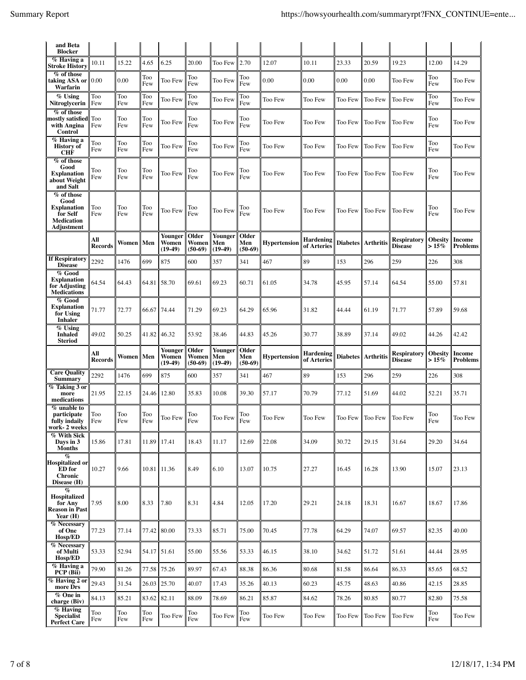| and Beta<br><b>Blocker</b>                                                       |                       |            |             |                               |                             |                             |                           |                     |                                 |                 |                      |                                      |                           |                                  |
|----------------------------------------------------------------------------------|-----------------------|------------|-------------|-------------------------------|-----------------------------|-----------------------------|---------------------------|---------------------|---------------------------------|-----------------|----------------------|--------------------------------------|---------------------------|----------------------------------|
| % Having a<br><b>Stroke History</b>                                              | 10.11                 | 15.22      | 4.65        | 6.25                          | 20.00                       | Too Few                     | 2.70                      | 12.07               | 10.11                           | 23.33           | 20.59                | 19.23                                | 12.00                     | 14.29                            |
| % of those<br>taking ASA or<br>Warfarin                                          | 0.00                  | 0.00       | Too<br>Few  | Too Few                       | Too<br>Few                  | Too Few                     | Too<br>Few                | 0.00                | 0.00                            | 0.00            | 0.00                 | Too Few                              | Too<br>Few                | Too Few                          |
| % Using<br>Nitroglycerin                                                         | Too<br>Few            | Too<br>Few | Too<br>Few  | Too Few                       | Too<br>Few                  | Too Few                     | Too<br>Few                | Too Few             | Too Few                         | Too Few         | Too Few              | Too Few                              | Too<br>Few                | Too Few                          |
| % of those<br>mostly satisfied Too<br>with Angina<br>Control                     | Few                   | Too<br>Few | Too<br>Few  | Too Few                       | Too<br>Few                  | Too Few                     | Too<br>Few                | Too Few             | Too Few                         | Too Few         | Too Few              | Too Few                              | Too<br>Few                | Too Few                          |
| % Having a<br><b>History of</b><br><b>CHF</b>                                    | Too<br>Few            | Too<br>Few | Too<br>Few  | Too Few                       | Too<br>Few                  | Too Few                     | Too<br>Few                | Too Few             | Too Few                         | Too Few         | Too Few              | <b>Too Few</b>                       | Too<br>Few                | Too Few                          |
| % of those<br>Good<br><b>Explanation</b><br>about Weight<br>and Salt             | Too<br>Few            | Too<br>Few | Too<br>Few  | Too Few                       | Too<br>Few                  | Too Few                     | Too<br>Few                | Too Few             | Too Few                         | Too Few         | Too Few              | Too Few                              | Too<br>Few                | Too Few                          |
| % of those<br>Good<br><b>Explanation</b><br>for Self<br>Medication<br>Adjustment | Too<br>Few            | Too<br>Few | Too<br>Few  | Too Few                       | Too<br>Few                  | Too Few                     | Too<br>Few                | Too Few             | Too Few                         | Too Few         | <b>Too Few</b>       | Too Few                              | Too<br>Few                | Too Few                          |
|                                                                                  | All<br>Records        | Women      | Men         | Younger<br>Women<br>$(19-49)$ | Older<br>Women<br>$(50-69)$ | Younger<br>Men<br>$(19-49)$ | Older<br>Men<br>$(50-69)$ | <b>Hypertension</b> | <b>Hardening</b><br>of Arteries |                 | Diabetes Arthritis   | <b>Respiratory</b><br><b>Disease</b> | <b>Obesity</b><br>$>15\%$ | <b>Income</b><br><b>Problems</b> |
| <b>If Respiratory</b><br><b>Disease</b>                                          | 2292                  | 1476       | 699         | 875                           | 600                         | 357                         | 341                       | 467                 | 89                              | 153             | 296                  | 259                                  | 226                       | 308                              |
| % Good<br><b>Explanation</b><br>for Adjusting<br><b>Medications</b>              | 64.54                 | 64.43      | 64.81       | 58.70                         | 69.61                       | 69.23                       | 60.71                     | 61.05               | 34.78                           | 45.95           | 57.14                | 64.54                                | 55.00                     | 57.81                            |
| % Good<br><b>Explanation</b><br>for Using<br><b>Inhaler</b>                      | 71.77                 | 72.77      | 66.67       | 74.44                         | 71.29                       | 69.23                       | 64.29                     | 65.96               | 31.82                           | 44.44           | 61.19                | 71.77                                | 57.89                     | 59.68                            |
| $\overline{\%}$ Using<br>Inhaled<br><b>Steriod</b>                               | 49.02                 | 50.25      | 41.82       | 46.32                         | 53.92                       | 38.46                       | 44.83                     | 45.26               | 30.77                           | 38.89           | 37.14                | 49.02                                | 44.26                     | 42.42                            |
|                                                                                  | All<br><b>Records</b> | Women      | Men         | Younger<br>Women<br>$(19-49)$ | Older<br>Women<br>$(50-69)$ | Younger<br>Men<br>$(19-49)$ | Older<br>Men<br>$(50-69)$ | <b>Hypertension</b> | <b>Hardening</b><br>of Arteries |                 | Diabetes   Arthritis | <b>Respiratory</b><br><b>Disease</b> | <b>Obesity</b><br>$>15\%$ | <b>Income</b><br><b>Problems</b> |
| <b>Care Quality</b><br>Summary                                                   | 2292                  | 1476       | 699         | 875                           | 600                         | 357                         | 341                       | 467                 | 89                              | 153             | 296                  | 259                                  | 226                       | 308                              |
| % Taking 3 or<br>more<br>medications                                             | 21.95                 | 22.15      | 24.46       | 12.80                         | 35.83                       | 10.08                       | 39.30                     | 57.17               | 70.79                           | 77.12           | 51.69                | 44.02                                | 52.21                     | 35.71                            |
| $\%$ unable to<br>participate<br>fully indaily<br>work-2 weeks                   | Too<br>Few            | Too<br>Few | Too<br>Few  | Too Few                       | Too<br>Few                  | Too Few                     | Too<br>Few                | Too Few             | Too Few                         | Too Few Too Few |                      | <b>Too Few</b>                       | Too<br>Few                | Too Few                          |
| % With Sick<br>Days in 3<br><b>Months</b>                                        | 15.86                 |            |             |                               |                             |                             |                           |                     |                                 |                 |                      |                                      |                           |                                  |
| $\%$                                                                             |                       | 17.81      | 11.89       | 17.41                         | 18.43                       | 11.17                       | 12.69                     | 22.08               | 34.09                           | 30.72           | 29.15                | 31.64                                | 29.20                     | 34.64                            |
| Hospitalized or<br><b>ED</b> for<br><b>Chronic</b><br>Disease (H)                | 10.27                 | 9.66       | 10.81       | 11.36                         | 8.49                        | 6.10                        | 13.07                     | 10.75               | 27.27                           | 16.45           | 16.28                | 13.90                                | 15.07                     | 23.13                            |
| $\%$<br>Hospitalized<br>for Any<br><b>Reason in Past</b><br>Year $(H)$           | 7.95                  | 8.00       | 8.33        | 7.80                          | 8.31                        | 4.84                        | 12.05                     | 17.20               | 29.21                           | 24.18           | 18.31                | 16.67                                | 18.67                     | 17.86                            |
| <b>% Necessary</b><br>of One<br>Hosp/ED                                          | 77.23                 | 77.14      | 77.42       | 80.00                         | 73.33                       | 85.71                       | 75.00                     | 70.45               | 77.78                           | 64.29           | 74.07                | 69.57                                | 82.35                     | 40.00                            |
| % Necessary<br>of Multi<br>Hosp/ED                                               | 53.33                 | 52.94      | 54.17 51.61 |                               | 55.00                       | 55.56                       | 53.33                     | 46.15               | 38.10                           | 34.62           | 51.72                | 51.61                                | 44.44                     | 28.95                            |
| $\sqrt{\frac{m}{n}}$ Having a<br>PCP (Bii)                                       | 79.90                 | 81.26      | 77.58       | 75.26                         | 89.97                       | 67.43                       | 88.38                     | 86.36               | 80.68                           | 81.58           | 86.64                | 86.33                                | 85.65                     | 68.52                            |
| % Having 2 or<br>more Drs                                                        | 29.43                 | 31.54      |             | 26.03 25.70                   | 40.07                       | 17.43                       | 35.26                     | 40.13               | 60.23                           | 45.75           | 48.63                | 40.86                                | 42.15                     | 28.85                            |
| % One in<br>charge (Biv)<br>$%$ Having                                           | 84.13                 | 85.21      | 83.62       | 82.11                         | 88.09                       | 78.69                       | 86.21                     | 85.87               | 84.62                           | 78.26           | 80.85                | 80.77                                | 82.80                     | 75.58                            |